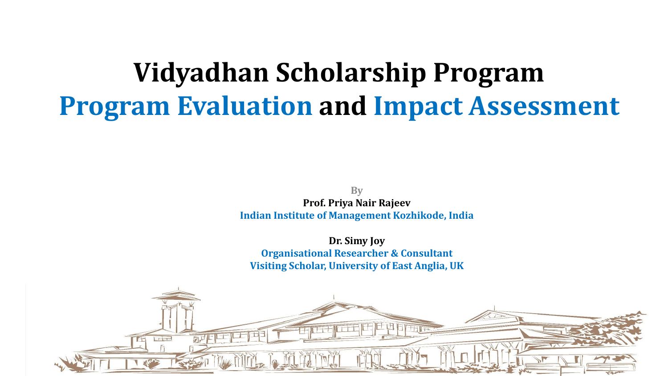# **Vidyadhan Scholarship Program Program Evaluation and Impact Assessment**

**By Prof. Priya Nair Rajeev Indian Institute of Management Kozhikode, India**

**Dr. Simy Joy Organisational Researcher & Consultant Visiting Scholar, University of East Anglia, UK**

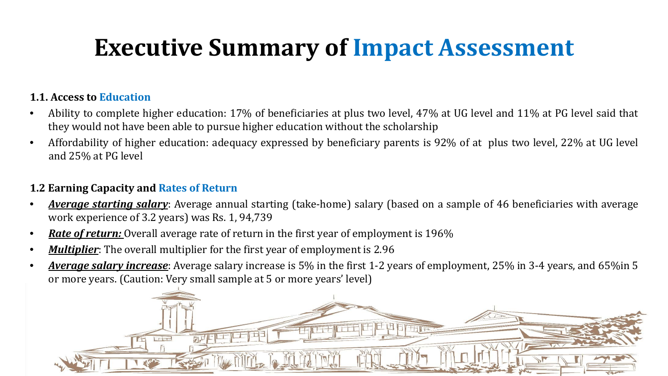### **Executive Summary of Impact Assessment**

#### **1.1. Access to Education**

- Ability to complete higher education: 17% of beneficiaries at plus two level, 47% at UG level and 11% at PG level said that they would not have been able to pursue higher education without the scholarship
- Affordability of higher education: adequacy expressed by beneficiary parents is 92% of at plus two level, 22% at UG level and 25% at PG level

#### **1.2 Earning Capacity and Rates of Return**

- *Average starting salary*: Average annual starting (take-home) salary (based on a sample of 46 beneficiaries with average work experience of 3.2 years) was Rs. 1, 94,739
- *Rate of return:* Overall average rate of return in the first year of employment is 196%
- *Multiplier*: The overall multiplier for the first year of employment is 2.96
- *Average salary increase*: Average salary increase is 5% in the first 1-2 years of employment, 25% in 3-4 years, and 65%in 5 or more years. (Caution: Very small sample at 5 or more years' level)

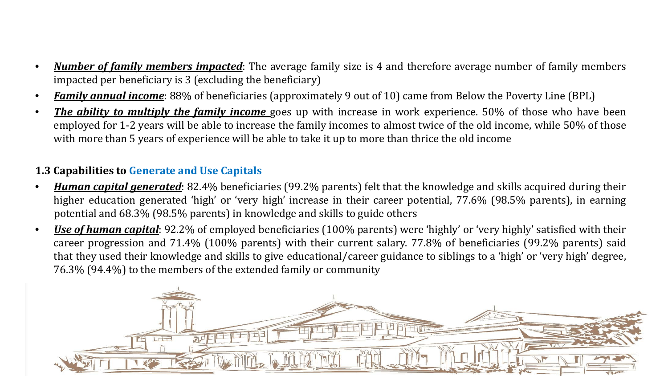- *Number of family members impacted*: The average family size is 4 and therefore average number of family members impacted per beneficiary is 3 (excluding the beneficiary)
- *Family annual income*: 88% of beneficiaries (approximately 9 out of 10) came from Below the Poverty Line (BPL)
- *The ability to multiply the family income* goes up with increase in work experience. 50% of those who have been employed for 1-2 years will be able to increase the family incomes to almost twice of the old income, while 50% of those with more than 5 years of experience will be able to take it up to more than thrice the old income

#### **1.3 Capabilities to Generate and Use Capitals**

- *Human capital generated*: 82.4% beneficiaries (99.2% parents) felt that the knowledge and skills acquired during their higher education generated 'high' or 'very high' increase in their career potential, 77.6% (98.5% parents), in earning potential and 68.3% (98.5% parents) in knowledge and skills to guide others
- *Use of human capital*: 92.2% of employed beneficiaries (100% parents) were 'highly' or 'very highly' satisfied with their career progression and 71.4% (100% parents) with their current salary. 77.8% of beneficiaries (99.2% parents) said that they used their knowledge and skills to give educational/career guidance to siblings to a 'high' or 'very high' degree, 76.3% (94.4%) to the members of the extended family or community

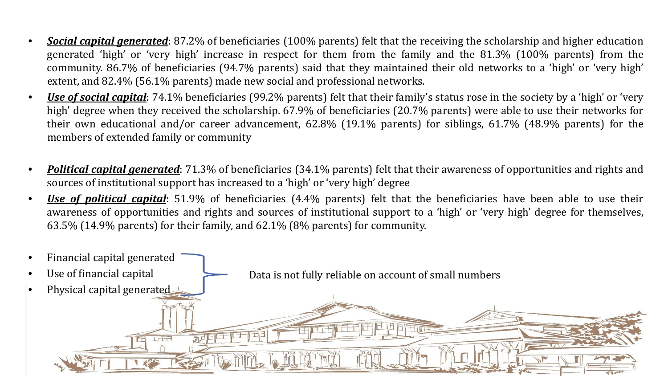- *Social capital generated*: 87.2% of beneficiaries (100% parents) felt that the receiving the scholarship and higher education generated 'high' or 'very high' increase in respect for them from the family and the 81.3% (100% parents) from the community. 86.7% of beneficiaries (94.7% parents) said that they maintained their old networks to a 'high' or 'very high' extent, and 82.4% (56.1% parents) made new social and professional networks.
- *Use of social capital*: 74.1% beneficiaries (99.2% parents) felt that their family's status rose in the society by a 'high' or 'very high' degree when they received the scholarship. 67.9% of beneficiaries (20.7% parents) were able to use their networks for their own educational and/or career advancement, 62.8% (19.1% parents) for siblings, 61.7% (48.9% parents) for the members of extended family or community
- *Political capital generated*: 71.3% of beneficiaries (34.1% parents) felt that their awareness of opportunities and rights and sources of institutional support has increased to a 'high' or 'very high' degree
- *Use of political capital*: 51.9% of beneficiaries (4.4% parents) felt that the beneficiaries have been able to use their awareness of opportunities and rights and sources of institutional support to a 'high' or 'very high' degree for themselves, 63.5% (14.9% parents) for their family, and 62.1% (8% parents) for community.

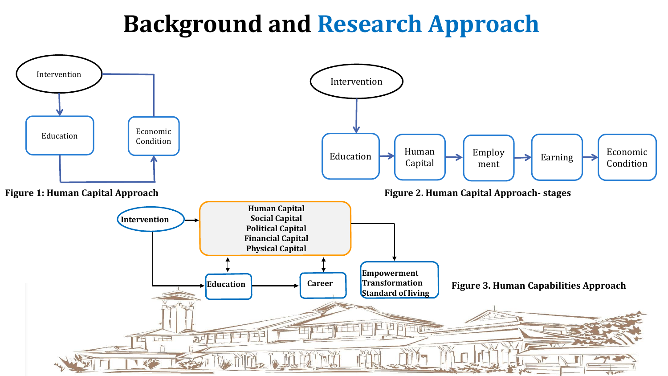### **Background and Research Approach**

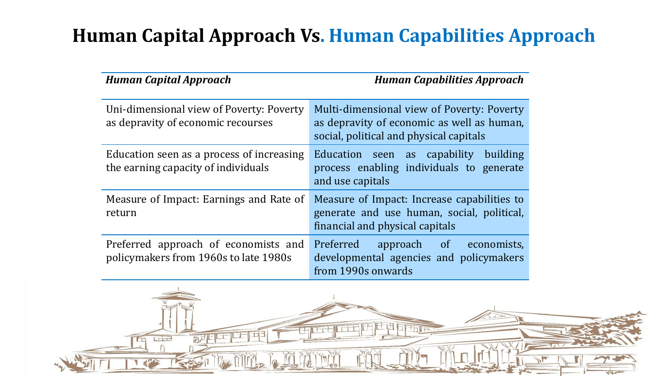### **Human Capital Approach Vs. Human Capabilities Approach**

| <b>Human Capital Approach</b>                                                    | <b>Human Capabilities Approach</b>                                                                                                  |
|----------------------------------------------------------------------------------|-------------------------------------------------------------------------------------------------------------------------------------|
| Uni-dimensional view of Poverty: Poverty<br>as depravity of economic recourses   | Multi-dimensional view of Poverty: Poverty<br>as depravity of economic as well as human,<br>social, political and physical capitals |
| Education seen as a process of increasing<br>the earning capacity of individuals | Education seen as capability<br>building<br>process enabling individuals to generate<br>and use capitals                            |
| Measure of Impact: Earnings and Rate of<br>return                                | Measure of Impact: Increase capabilities to<br>generate and use human, social, political,<br>financial and physical capitals        |
| Preferred approach of economists and<br>policymakers from 1960s to late 1980s    | Preferred<br>approach of<br>economists,<br>developmental agencies and policymakers<br>from 1990s onwards                            |

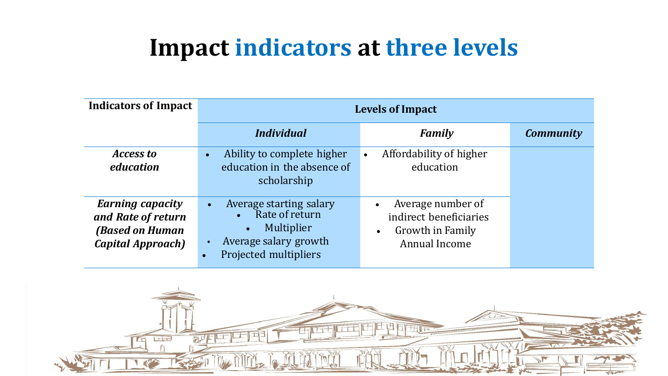### **Impact indicators at three levels**

| <b>Indicators of Impact</b>                                                                         | <b>Levels of Impact</b>                                                                                                                                                    |                                                                                               |                  |  |
|-----------------------------------------------------------------------------------------------------|----------------------------------------------------------------------------------------------------------------------------------------------------------------------------|-----------------------------------------------------------------------------------------------|------------------|--|
|                                                                                                     | <b>Individual</b>                                                                                                                                                          | <b>Family</b>                                                                                 | <b>Community</b> |  |
| <b>Access to</b><br>education                                                                       | Ability to complete higher<br>$\bullet$<br>education in the absence of<br>scholarship                                                                                      | Affordability of higher<br>$\bullet$<br>education                                             |                  |  |
| <b>Earning capacity</b><br>and Rate of return<br><b>(Based on Human</b><br><b>Capital Approach)</b> | Average starting salary<br>$\bullet$<br>Rate of return<br>$\bullet$<br>Multiplier<br>$\bullet$<br>Average salary growth<br>$\bullet$<br>Projected multipliers<br>$\bullet$ | Average number of<br>indirect beneficiaries<br>Growth in Family<br>$\bullet$<br>Annual Income |                  |  |

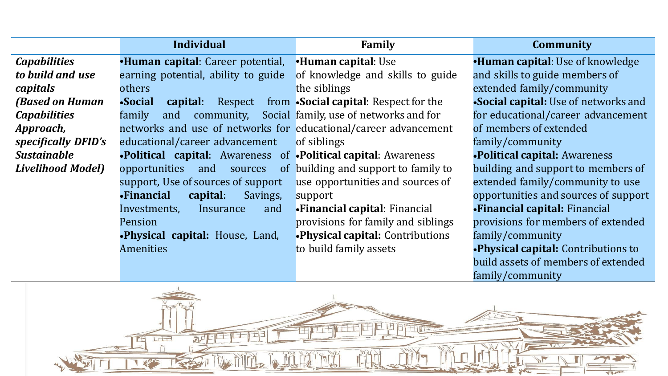|                          | <b>Individual</b>                                               | Family                                 | <b>Community</b>                           |
|--------------------------|-----------------------------------------------------------------|----------------------------------------|--------------------------------------------|
| <b>Capabilities</b>      | <b>•Human capital:</b> Career potential,                        | •Human capital: Use                    | <b>•Human capital:</b> Use of knowledge    |
| to build and use         | earning potential, ability to guide                             | of knowledge and skills to guide       | and skills to guide members of             |
| capitals                 | others                                                          | the siblings                           | extended family/community                  |
| <b>(Based on Human</b>   | •Social<br>capital:<br>Respect                                  | from •Social capital: Respect for the  | •Social capital: Use of networks and       |
| <b>Capabilities</b>      | family<br>community,<br>and                                     | Social family, use of networks and for | for educational/career advancement         |
| Approach,                | networks and use of networks for educational/career advancement |                                        | of members of extended                     |
| specifically DFID's      | educational/career advancement                                  | of siblings                            | family/community                           |
| <b>Sustainable</b>       | •Political capital: Awareness of •Political capital: Awareness  |                                        | <b>.Political capital: Awareness</b>       |
| <b>Livelihood Model)</b> | opportunities<br>and<br>sources                                 | of building and support to family to   | building and support to members of         |
|                          | support, Use of sources of support                              | use opportunities and sources of       | extended family/community to use           |
|                          | •Financial<br>capital:<br>Savings,                              | support                                | opportunities and sources of support       |
|                          | Insurance<br>Investments,<br>and                                | •Financial capital: Financial          | •Financial capital: Financial              |
|                          | Pension                                                         | provisions for family and siblings     | provisions for members of extended         |
|                          | <b>Physical capital:</b> House, Land,                           | •Physical capital: Contributions       | family/community                           |
|                          | <b>Amenities</b>                                                | to build family assets                 | <b>.Physical capital:</b> Contributions to |
|                          |                                                                 |                                        | build assets of members of extended        |
|                          |                                                                 |                                        | family/community                           |

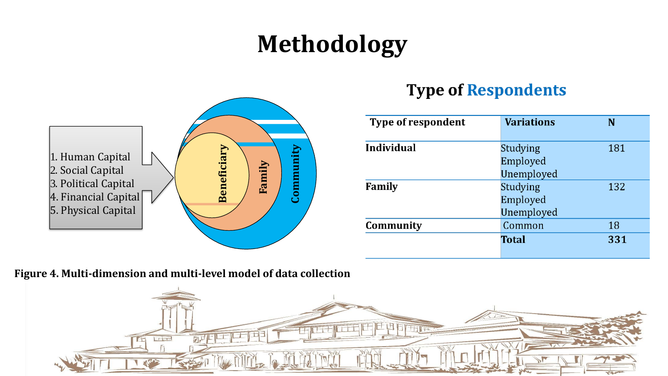### **Methodology**



### **Type of Respondents**

| <b>Type of respondent</b> | <b>Variations</b>                                       | N   |
|---------------------------|---------------------------------------------------------|-----|
| <b>Individual</b>         | <b>Studying</b><br>Employed                             | 181 |
| Family                    | Unemployed<br><b>Studying</b><br>Employed<br>Unemployed | 132 |
| Community                 | Common                                                  | 18  |
|                           | <b>Total</b>                                            | 331 |

**Figure 4. Multi-dimension and multi-level model of data collection**

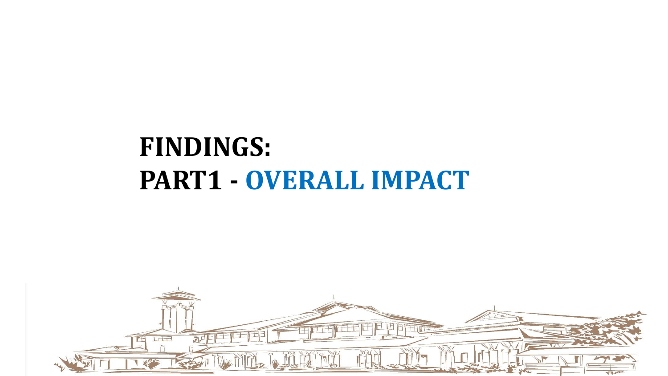# **FINDINGS: PART1 - OVERALL IMPACT**

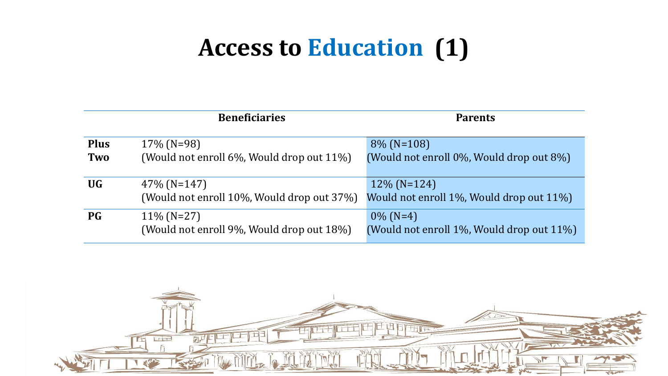### **Access to Education (1)**

|                    | <b>Beneficiaries</b>                                         | <b>Parents</b>                                             |
|--------------------|--------------------------------------------------------------|------------------------------------------------------------|
| <b>Plus</b><br>Two | $17\%$ (N=98)<br>(Would not enroll 6%, Would drop out 11%)   | $8\%$ (N=108)<br>(Would not enroll 0%, Would drop out 8%)  |
| <b>UG</b>          | $47\%$ (N=147)<br>(Would not enroll 10%, Would drop out 37%) | $12\%$ (N=124)<br>Would not enroll 1%, Would drop out 11%) |
| <b>PG</b>          | $11\%$ (N=27)<br>(Would not enroll 9%, Would drop out 18%)   | $0\%$ (N=4)<br>(Would not enroll 1%, Would drop out 11%)   |

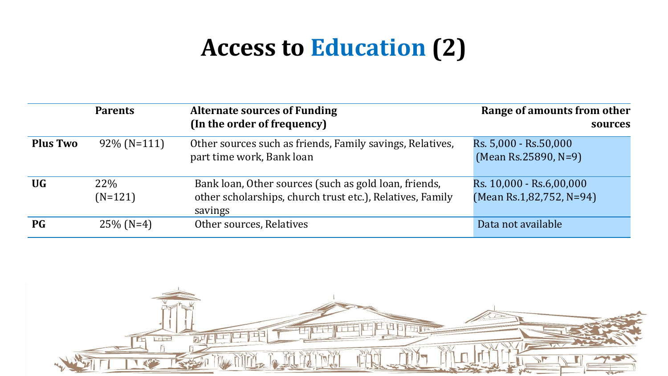### **Access to Education (2)**

|                 | <b>Parents</b>          | <b>Alternate sources of Funding</b><br>(In the order of frequency)                                                            | Range of amounts from other<br>sources               |
|-----------------|-------------------------|-------------------------------------------------------------------------------------------------------------------------------|------------------------------------------------------|
| <b>Plus Two</b> | $92\%$ (N=111)          | Other sources such as friends, Family savings, Relatives,<br>part time work, Bank loan                                        | Rs. 5,000 - Rs.50,000<br>$(Mean Rs. 25890, N=9)$     |
| <b>UG</b>       | <b>22%</b><br>$(N=121)$ | Bank loan, Other sources (such as gold loan, friends,<br>other scholarships, church trust etc.), Relatives, Family<br>savings | Rs. 10,000 - Rs.6,00,000<br>(Mean Rs.1,82,752, N=94) |
| <b>PG</b>       | $25\%$ (N=4)            | Other sources, Relatives                                                                                                      | Data not available                                   |

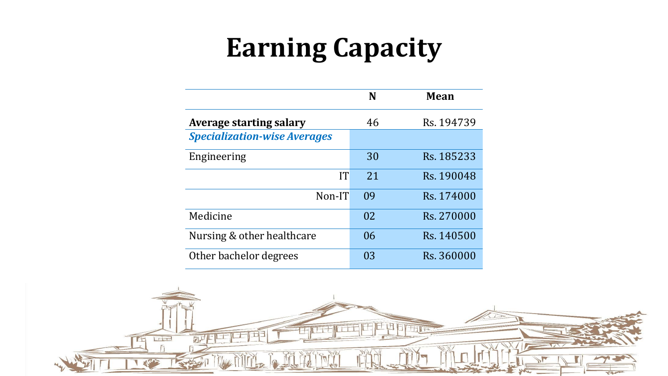# **Earning Capacity**

|                                     | N   | Mean       |
|-------------------------------------|-----|------------|
| <b>Average starting salary</b>      | 46  | Rs. 194739 |
| <b>Specialization-wise Averages</b> |     |            |
| Engineering                         | 30  | Rs. 185233 |
| IT                                  | 2.1 | Rs. 190048 |
| Non-IT                              | 09  | Rs. 174000 |
| Medicine                            | 02  | Rs. 270000 |
| Nursing & other healthcare          | 06  | Rs. 140500 |
| Other bachelor degrees              | 03  | Rs. 360000 |

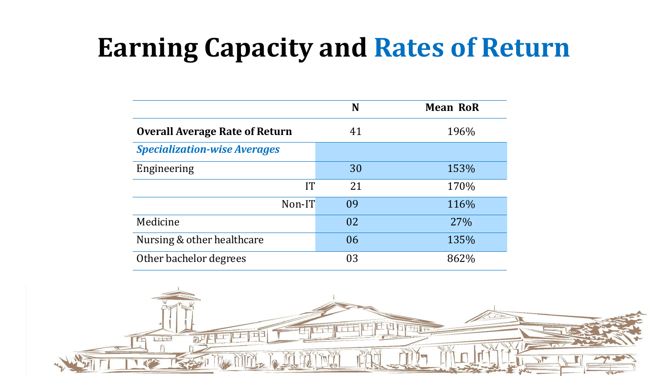# **Earning Capacity and Rates of Return**

|                                       | N  | <b>Mean RoR</b> |
|---------------------------------------|----|-----------------|
| <b>Overall Average Rate of Return</b> | 41 | 196%            |
| <b>Specialization-wise Averages</b>   |    |                 |
| Engineering                           | 30 | 153%            |
| <b>IT</b>                             | 21 | 170%            |
| Non-IT                                | 09 | 116%            |
| Medicine                              | 02 | 27%             |
| Nursing & other healthcare            | 06 | 135%            |
| Other bachelor degrees                | 03 | 862%            |

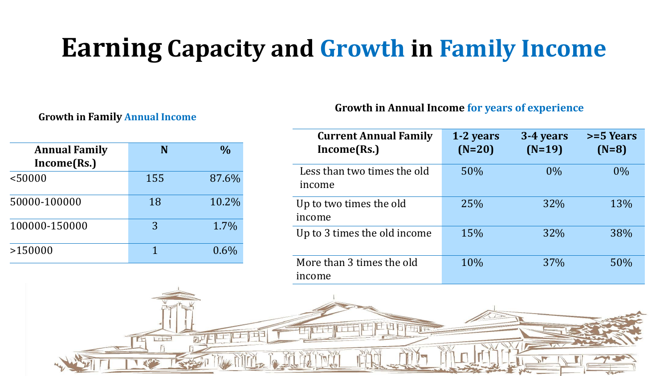## **Earning Capacity and Growth in Family Income**

#### **Growth in Family Annual Income**

| <b>Annual Family</b><br>Income(Rs.) | N   | $\frac{0}{0}$ |
|-------------------------------------|-----|---------------|
| < 50000                             | 155 | 87.6%         |
| 50000-100000                        | 18  | 10.2%         |
| 100000-150000                       | 3   | 1.7%          |
| >150000                             |     | $0.6\%$       |

#### **Growth in Annual Income for years of experience**

| <b>Current Annual Family</b><br>Income(Rs.) | 1-2 years<br>$(N=20)$ | 3-4 years<br>$(N=19)$ | $>=$ 5 Years<br>$(N=8)$ |
|---------------------------------------------|-----------------------|-----------------------|-------------------------|
| Less than two times the old<br>income       | 50%                   | $0\%$                 | $0\%$                   |
| Up to two times the old<br>income           | 25%                   | 32%                   | 13%                     |
| Up to 3 times the old income                | 15%                   | 32%                   | 38%                     |
| More than 3 times the old<br>income         | 10%                   | 37%                   | 50%                     |

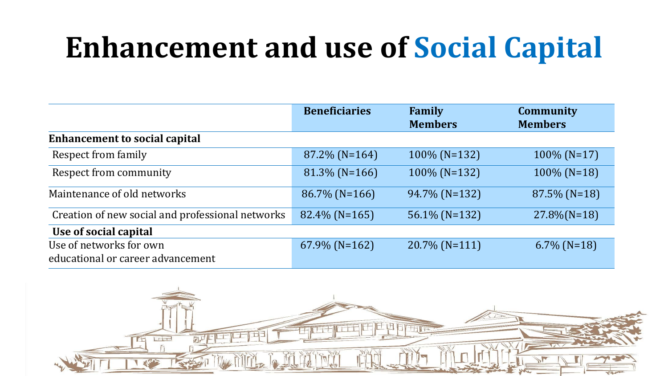# **Enhancement and use of Social Capital**

|                                                              | <b>Beneficiaries</b> | Family<br><b>Members</b> | <b>Community</b><br><b>Members</b> |
|--------------------------------------------------------------|----------------------|--------------------------|------------------------------------|
| <b>Enhancement to social capital</b>                         |                      |                          |                                    |
| Respect from family                                          | $87.2\%$ (N=164)     | $100\%$ (N=132)          | $100\%$ (N=17)                     |
| Respect from community                                       | $81.3\%$ (N=166)     | $100\%$ (N=132)          | $100\%$ (N=18)                     |
| Maintenance of old networks                                  | $86.7\%$ (N=166)     | 94.7% (N=132)            | $87.5\%$ (N=18)                    |
| Creation of new social and professional networks             | $82.4\%$ (N=165)     | 56.1% (N=132)            | $27.8\%$ (N=18)                    |
| Use of social capital                                        |                      |                          |                                    |
| Use of networks for own<br>educational or career advancement | $67.9\%$ (N=162)     | $20.7\%$ (N=111)         | $6.7\%$ (N=18)                     |

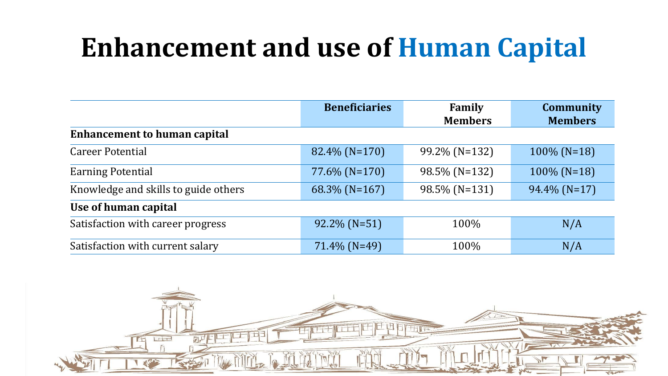# **Enhancement and use of Human Capital**

|                                      | <b>Beneficiaries</b> | Family         | <b>Community</b> |
|--------------------------------------|----------------------|----------------|------------------|
|                                      |                      | <b>Members</b> | <b>Members</b>   |
| <b>Enhancement to human capital</b>  |                      |                |                  |
| <b>Career Potential</b>              | 82.4% (N=170)        | 99.2% (N=132)  | $100\%$ (N=18)   |
| <b>Earning Potential</b>             | $77.6\%$ (N=170)     | 98.5% (N=132)  | $100\%$ (N=18)   |
| Knowledge and skills to guide others | $68.3\%$ (N=167)     | 98.5% (N=131)  | $94.4\%$ (N=17)  |
| Use of human capital                 |                      |                |                  |
| Satisfaction with career progress    | $92.2\%$ (N=51)      | 100%           | N/A              |
| Satisfaction with current salary     | $71.4\%$ (N=49)      | 100%           | N/A              |

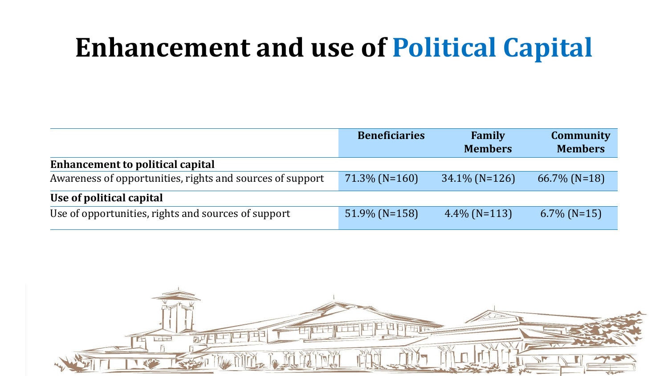# **Enhancement and use of Political Capital**

|                                                           | <b>Beneficiaries</b> | Family<br><b>Members</b> | <b>Community</b><br><b>Members</b> |
|-----------------------------------------------------------|----------------------|--------------------------|------------------------------------|
| <b>Enhancement to political capital</b>                   |                      |                          |                                    |
| Awareness of opportunities, rights and sources of support | $71.3\%$ (N=160)     | $34.1\%$ (N=126)         | $66.7\%$ (N=18)                    |
| Use of political capital                                  |                      |                          |                                    |
| Use of opportunities, rights and sources of support       | $51.9\%$ (N=158)     | $4.4\%$ (N=113)          | $6.7\%$ (N=15)                     |

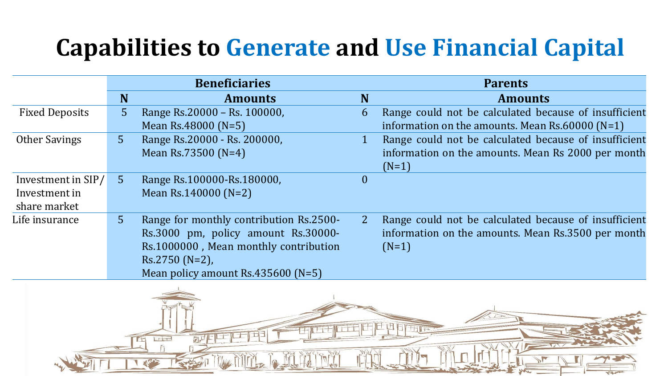### **Capabilities to Generate and Use Financial Capital**

|                       |                | <b>Beneficiaries</b>                                                                                                                                                              |          | <b>Parents</b>                                                                                                         |  |  |
|-----------------------|----------------|-----------------------------------------------------------------------------------------------------------------------------------------------------------------------------------|----------|------------------------------------------------------------------------------------------------------------------------|--|--|
|                       | N              | <b>Amounts</b>                                                                                                                                                                    | N        | <b>Amounts</b>                                                                                                         |  |  |
| <b>Fixed Deposits</b> | 5              | Range Rs.20000 - Rs. 100000,                                                                                                                                                      | 6        | Range could not be calculated because of insufficient                                                                  |  |  |
|                       |                | Mean Rs.48000 (N=5)                                                                                                                                                               |          | information on the amounts. Mean $Rs.60000$ (N=1)                                                                      |  |  |
| <b>Other Savings</b>  | 5 <sup>1</sup> | Range Rs.20000 - Rs. 200000,                                                                                                                                                      |          | Range could not be calculated because of insufficient                                                                  |  |  |
|                       |                | Mean Rs.73500 (N=4)                                                                                                                                                               |          | information on the amounts. Mean Rs 2000 per month<br>$(N=1)$                                                          |  |  |
| Investment in SIP/    | 5 <sup>1</sup> | Range Rs.100000-Rs.180000,                                                                                                                                                        | $\Omega$ |                                                                                                                        |  |  |
| Investment in         |                | Mean Rs.140000 (N=2)                                                                                                                                                              |          |                                                                                                                        |  |  |
| share market          |                |                                                                                                                                                                                   |          |                                                                                                                        |  |  |
| Life insurance        | 5 <sup>1</sup> | Range for monthly contribution Rs.2500-<br>Rs.3000 pm, policy amount Rs.30000-<br>Rs.1000000, Mean monthly contribution<br>$Rs.2750(N=2)$ ,<br>Mean policy amount Rs.435600 (N=5) |          | Range could not be calculated because of insufficient<br>information on the amounts. Mean Rs.3500 per month<br>$(N=1)$ |  |  |
| Lote                  |                |                                                                                                                                                                                   |          |                                                                                                                        |  |  |

**Address**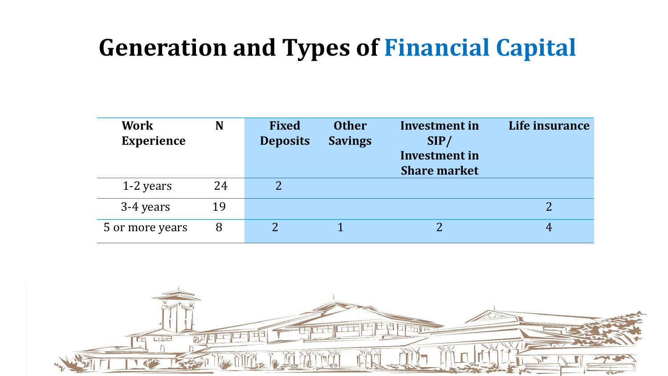### **Generation and Types of Financial Capital**

| <b>Work</b><br><b>Experience</b> | N  | <b>Fixed</b><br><b>Deposits</b> | <b>Other</b><br><b>Savings</b> | Investment in<br>SIP/<br>Investment in<br><b>Share market</b> | Life insurance |
|----------------------------------|----|---------------------------------|--------------------------------|---------------------------------------------------------------|----------------|
| 1-2 years                        | 24 |                                 |                                |                                                               |                |
| 3-4 years                        | 19 |                                 |                                |                                                               |                |
| 5 or more years                  | 8  |                                 |                                |                                                               | 4              |

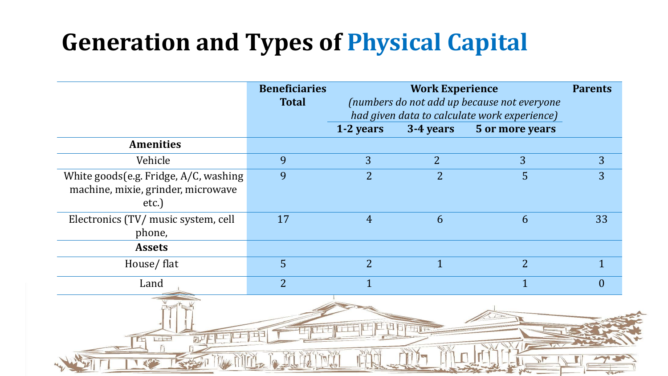### **Generation and Types of Physical Capital**

|                                                                                      | <b>Beneficiaries</b><br><b>Total</b> |                | <b>Work Experience</b> | (numbers do not add up because not everyone<br>had given data to calculate work experience) | <b>Parents</b> |  |
|--------------------------------------------------------------------------------------|--------------------------------------|----------------|------------------------|---------------------------------------------------------------------------------------------|----------------|--|
|                                                                                      |                                      | 1-2 years      | 3-4 years              | 5 or more years                                                                             |                |  |
| <b>Amenities</b>                                                                     |                                      |                |                        |                                                                                             |                |  |
| Vehicle                                                                              | 9                                    | 3              | $\overline{2}$         | 3                                                                                           | 3              |  |
| White goods (e.g. Fridge, A/C, washing<br>machine, mixie, grinder, microwave<br>etc. | 9                                    | $\overline{2}$ | $\overline{2}$         | 5                                                                                           | 3              |  |
| Electronics (TV/ music system, cell<br>phone,                                        | 17                                   | $\overline{4}$ | 6                      | 6                                                                                           | 33             |  |
| <b>Assets</b>                                                                        |                                      |                |                        |                                                                                             |                |  |
| House/flat                                                                           | 5                                    | $\overline{2}$ | $\mathbf{1}$           | $\overline{2}$                                                                              | $\mathbf 1$    |  |
| Land                                                                                 | $\overline{2}$                       | $\overline{1}$ |                        | $\overline{1}$                                                                              | $\overline{0}$ |  |
| <b>Lite</b>                                                                          |                                      |                |                        |                                                                                             |                |  |
|                                                                                      |                                      |                |                        |                                                                                             |                |  |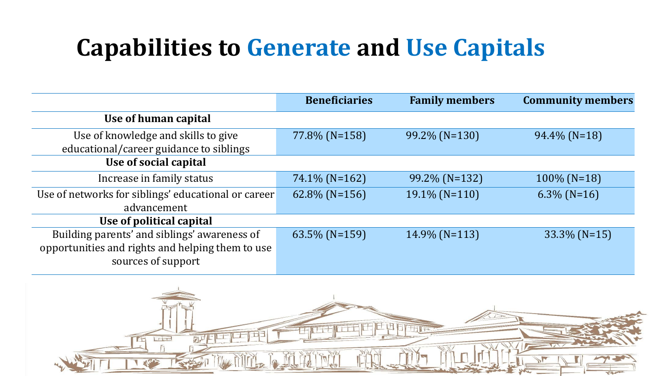### **Capabilities to Generate and Use Capitals**

|                                                     | <b>Beneficiaries</b> | <b>Family members</b> | <b>Community members</b> |
|-----------------------------------------------------|----------------------|-----------------------|--------------------------|
| Use of human capital                                |                      |                       |                          |
| Use of knowledge and skills to give                 | 77.8% (N=158)        | $99.2\%$ (N=130)      | $94.4\%$ (N=18)          |
| educational/career guidance to siblings             |                      |                       |                          |
| Use of social capital                               |                      |                       |                          |
| Increase in family status                           | $74.1\%$ (N=162)     | $99.2\%$ (N=132)      | $100\%$ (N=18)           |
| Use of networks for siblings' educational or career | $62.8\%$ (N=156)     | $19.1\%$ (N=110)      | $6.3\%$ (N=16)           |
| advancement                                         |                      |                       |                          |
| Use of political capital                            |                      |                       |                          |
| Building parents' and siblings' awareness of        | $63.5\%$ (N=159)     | 14.9% (N=113)         | $33.3\%$ (N=15)          |
| opportunities and rights and helping them to use    |                      |                       |                          |
| sources of support                                  |                      |                       |                          |

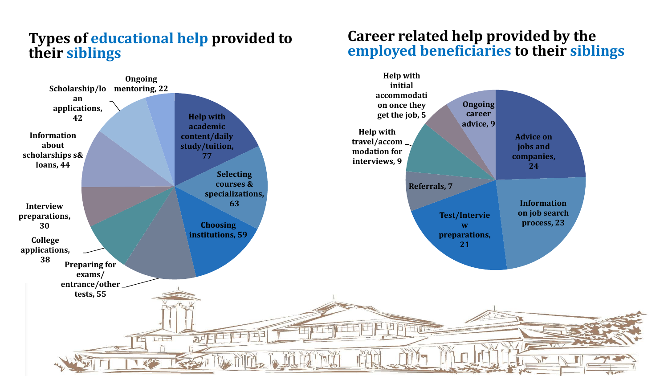#### **Types of educational help provided to their siblings**



#### **Career related help provided by the employed beneficiaries to their siblings**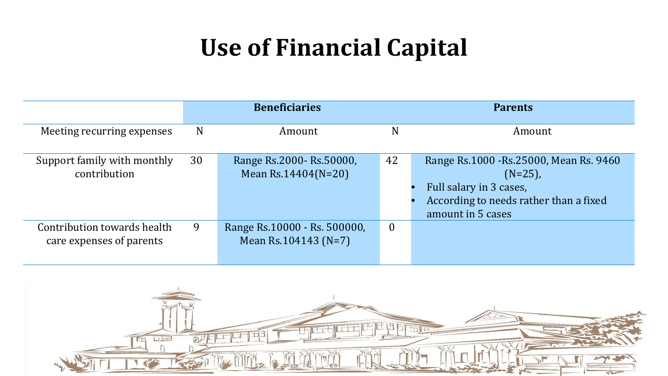### **Use of Financial Capital**

|                                                         |    | <b>Beneficiaries</b>                                    |                  | <b>Parents</b>                                                                                                                                  |
|---------------------------------------------------------|----|---------------------------------------------------------|------------------|-------------------------------------------------------------------------------------------------------------------------------------------------|
| Meeting recurring expenses                              | N  | Amount                                                  | N                | Amount                                                                                                                                          |
| Support family with monthly<br>contribution             | 30 | Range Rs.2000- Rs.50000,<br>Mean Rs.14404( $N=20$ )     | 42               | Range Rs.1000 - Rs.25000, Mean Rs. 9460<br>$(N=25)$ ,<br>Full salary in 3 cases,<br>According to needs rather than a fixed<br>amount in 5 cases |
| Contribution towards health<br>care expenses of parents | 9  | Range Rs.10000 - Rs. 500000,<br>Mean Rs. $104143$ (N=7) | $\boldsymbol{0}$ |                                                                                                                                                 |

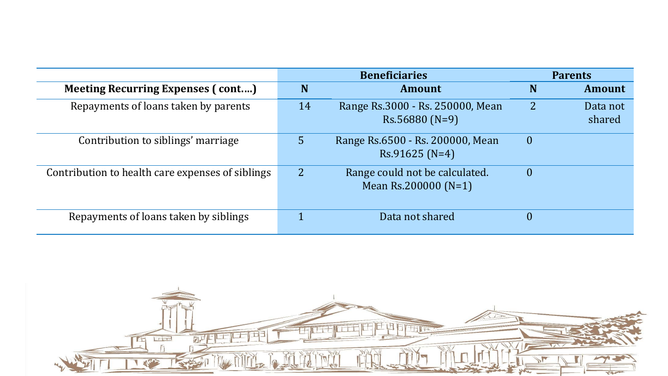|                                                  |    | <b>Beneficiaries</b>                                     |                | <b>Parents</b>     |
|--------------------------------------------------|----|----------------------------------------------------------|----------------|--------------------|
| <b>Meeting Recurring Expenses (cont)</b>         | N  | <b>Amount</b>                                            | N              | Amount             |
| Repayments of loans taken by parents             | 14 | Range Rs.3000 - Rs. 250000, Mean<br>$Rs.56880(N=9)$      | $\overline{2}$ | Data not<br>shared |
| Contribution to siblings' marriage               | 5  | Range Rs.6500 - Rs. 200000, Mean<br>$Rs.91625(N=4)$      | $\overline{0}$ |                    |
| Contribution to health care expenses of siblings |    | Range could not be calculated.<br>Mean Rs.200000 $(N=1)$ | $\mathbf{0}$   |                    |
| Repayments of loans taken by siblings            |    | Data not shared                                          | $\overline{0}$ |                    |

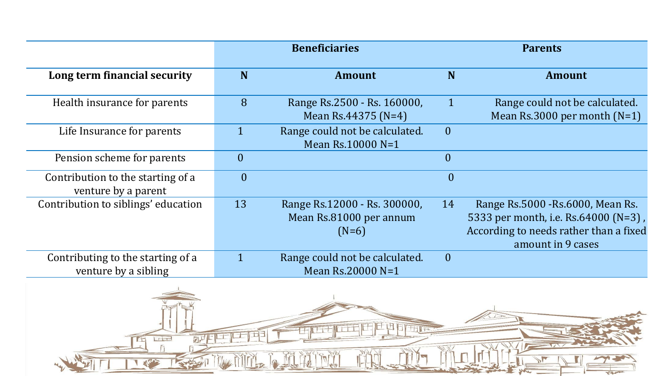|                                                           |                  | <b>Beneficiaries</b>                                               |                | <b>Parents</b>                                                                                                                           |  |  |
|-----------------------------------------------------------|------------------|--------------------------------------------------------------------|----------------|------------------------------------------------------------------------------------------------------------------------------------------|--|--|
| Long term financial security                              | N                | <b>Amount</b>                                                      | N              | <b>Amount</b>                                                                                                                            |  |  |
| Health insurance for parents                              | 8                | Range Rs.2500 - Rs. 160000,<br>Mean Rs.44375 (N=4)                 | $\mathbf{1}$   | Range could not be calculated.<br>Mean $Rs.3000$ per month $(N=1)$                                                                       |  |  |
| Life Insurance for parents                                | $\mathbf{1}$     | Range could not be calculated.<br>Mean Rs.10000 N=1                | $\overline{0}$ |                                                                                                                                          |  |  |
| Pension scheme for parents                                | $\overline{0}$   |                                                                    | $\overline{0}$ |                                                                                                                                          |  |  |
| Contribution to the starting of a<br>venture by a parent  | $\boldsymbol{0}$ |                                                                    | $\overline{0}$ |                                                                                                                                          |  |  |
| Contribution to siblings' education                       | 13               | Range Rs.12000 - Rs. 300000,<br>Mean Rs.81000 per annum<br>$(N=6)$ | 14             | Range Rs.5000 - Rs.6000, Mean Rs.<br>5333 per month, i.e. Rs.64000 (N=3),<br>According to needs rather than a fixed<br>amount in 9 cases |  |  |
| Contributing to the starting of a<br>venture by a sibling | $\mathbf{1}$     | Range could not be calculated.<br>Mean Rs.20000 N=1                | $\overline{0}$ |                                                                                                                                          |  |  |
| <b>Lite</b>                                               |                  |                                                                    |                |                                                                                                                                          |  |  |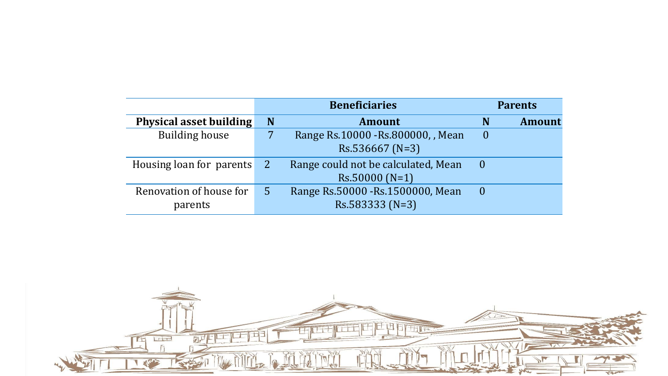|                                |              | <b>Beneficiaries</b>                |          | <b>Parents</b> |
|--------------------------------|--------------|-------------------------------------|----------|----------------|
| <b>Physical asset building</b> | N            | <b>Amount</b>                       | N        | <b>Amount</b>  |
| <b>Building house</b>          |              | Range Rs.10000 - Rs.800000, , Mean  | $\theta$ |                |
|                                |              | $Rs.536667 (N=3)$                   |          |                |
| Housing loan for parents       | <sup>2</sup> | Range could not be calculated, Mean |          |                |
|                                |              | $Rs.50000(N=1)$                     |          |                |
| Renovation of house for        | 5            | Range Rs.50000 - Rs.1500000, Mean   | $\bf{0}$ |                |
| parents                        |              | $Rs.583333(N=3)$                    |          |                |

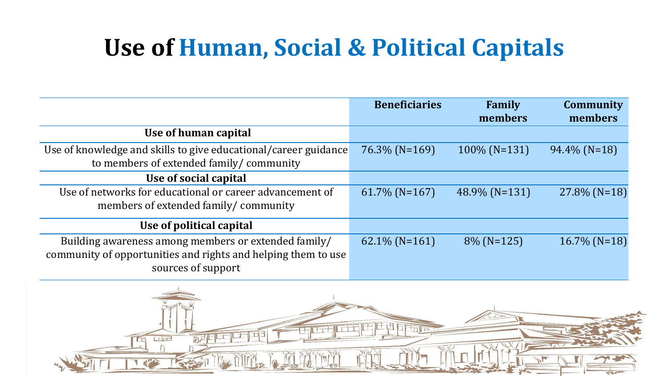### **Use of Human, Social & Political Capitals**

|                                                                                                                                             | <b>Beneficiaries</b> | Family<br>members | <b>Community</b><br>members |
|---------------------------------------------------------------------------------------------------------------------------------------------|----------------------|-------------------|-----------------------------|
| Use of human capital                                                                                                                        |                      |                   |                             |
| Use of knowledge and skills to give educational/career guidance<br>to members of extended family/community                                  | $76.3\%$ (N=169)     | $100\%$ (N=131)   | $94.4\%$ (N=18)             |
| Use of social capital                                                                                                                       |                      |                   |                             |
| Use of networks for educational or career advancement of<br>members of extended family/community                                            | $61.7\%$ (N=167)     | 48.9% (N=131)     | $27.8\%$ (N=18)             |
| Use of political capital                                                                                                                    |                      |                   |                             |
| Building awareness among members or extended family/<br>community of opportunities and rights and helping them to use<br>sources of support | $62.1\%$ (N=161)     | $8\%$ (N=125)     | $16.7\%$ (N=18)             |

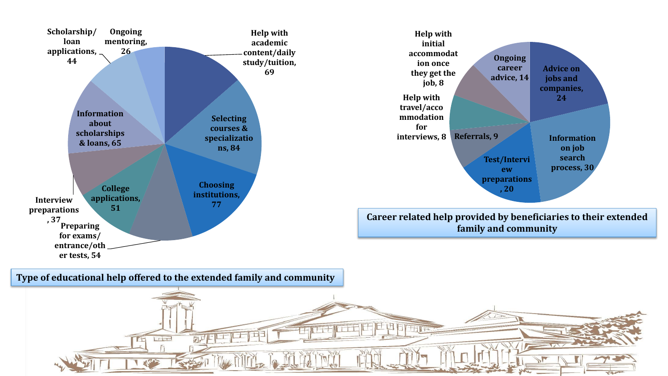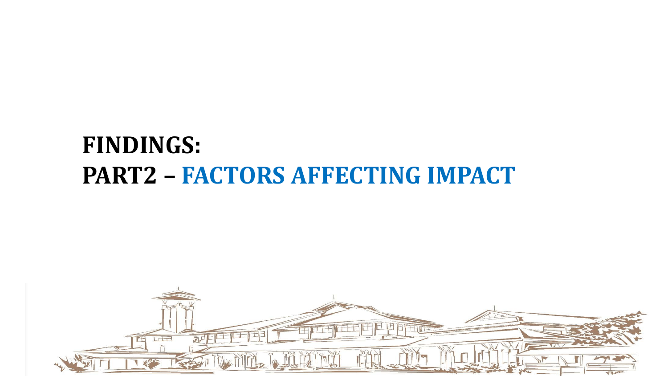### **FINDINGS: PART2 – FACTORS AFFECTING IMPACT**

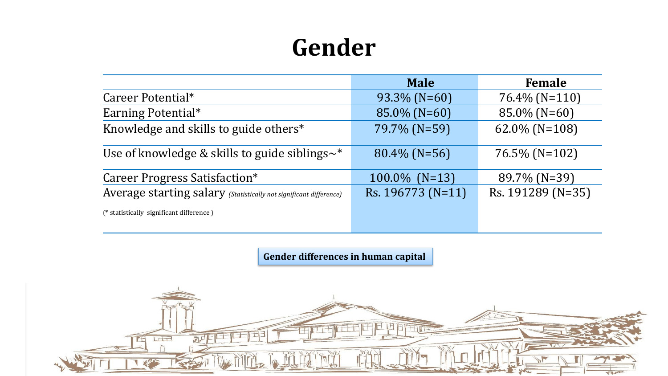### **Gender**

|                                                                    | <b>Male</b>       | <b>Female</b>     |
|--------------------------------------------------------------------|-------------------|-------------------|
| Career Potential*                                                  | $93.3\%$ (N=60)   | $76.4\%$ (N=110)  |
| Earning Potential*                                                 | 85.0% (N=60)      | $85.0\%$ (N=60)   |
| Knowledge and skills to guide others*                              | 79.7% (N=59)      | 62.0% ( $N=108$ ) |
| Use of knowledge & skills to guide siblings $\sim^*$               | $80.4\%$ (N=56)   | $76.5\%$ (N=102)  |
| Career Progress Satisfaction*                                      | $100.0\%$ (N=13)  | 89.7% (N=39)      |
| Average starting salary (Statistically not significant difference) | Rs. 196773 (N=11) | Rs. 191289 (N=35) |
| (* statistically significant difference)                           |                   |                   |

**Gender differences in human capital**

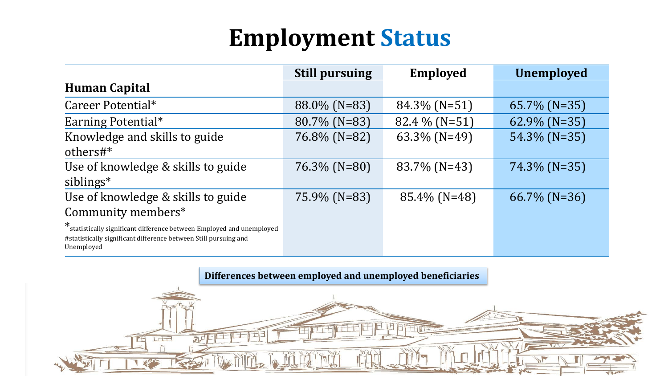### **Employment Status**

|                                                                                                                                                          | <b>Still pursuing</b> | <b>Employed</b> | <b>Unemployed</b> |
|----------------------------------------------------------------------------------------------------------------------------------------------------------|-----------------------|-----------------|-------------------|
| <b>Human Capital</b>                                                                                                                                     |                       |                 |                   |
| Career Potential*                                                                                                                                        | 88.0% (N=83)          | $84.3\%$ (N=51) | $65.7\%$ (N=35)   |
| Earning Potential*                                                                                                                                       | 80.7% (N=83)          | $82.4\%$ (N=51) | $62.9\%$ (N=35)   |
| Knowledge and skills to guide<br>others#*                                                                                                                | 76.8% (N=82)          | $63.3\%$ (N=49) | 54.3% (N=35)      |
| Use of knowledge & skills to guide<br>siblings*                                                                                                          | $76.3\%$ (N=80)       | 83.7% (N=43)    | $74.3\%$ (N=35)   |
| Use of knowledge & skills to guide<br>Community members*                                                                                                 | 75.9% (N=83)          | 85.4% (N=48)    | $66.7\%$ (N=36)   |
| * statistically significant difference between Employed and unemployed<br>#statistically significant difference between Still pursuing and<br>Unemployed |                       |                 |                   |

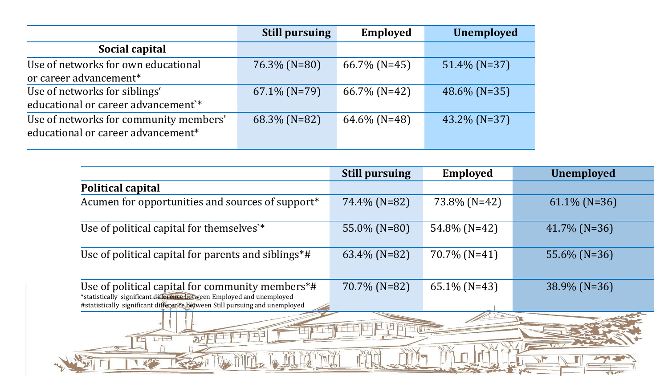|                                                                              | <b>Still pursuing</b> | <b>Employed</b> | <b>Unemployed</b> |
|------------------------------------------------------------------------------|-----------------------|-----------------|-------------------|
| Social capital                                                               |                       |                 |                   |
| Use of networks for own educational<br>or career advancement*                | $76.3\%$ (N=80)       | $66.7\%$ (N=45) | $51.4\%$ (N=37)   |
| Use of networks for siblings'<br>educational or career advancement`*         | $67.1\%$ (N=79)       | $66.7\%$ (N=42) | $48.6\%$ (N=35)   |
| Use of networks for community members'<br>educational or career advancement* | $68.3\%$ (N=82)       | $64.6\%$ (N=48) | $43.2\%$ (N=37)   |

 $\mathbf{r}$ 

|                                                                                                                                                                                                          | <b>Still pursuing</b> | <b>Employed</b>  | <b>Unemployed</b> |  |  |
|----------------------------------------------------------------------------------------------------------------------------------------------------------------------------------------------------------|-----------------------|------------------|-------------------|--|--|
| <b>Political capital</b>                                                                                                                                                                                 |                       |                  |                   |  |  |
| Acumen for opportunities and sources of support*                                                                                                                                                         | 74.4% (N=82)          | 73.8% (N=42)     | $61.1\%$ (N=36)   |  |  |
| Use of political capital for themselves'*                                                                                                                                                                | 55.0% (N=80)          | 54.8% (N=42)     | $41.7\%$ (N=36)   |  |  |
| Use of political capital for parents and siblings*#                                                                                                                                                      | $63.4\%$ (N=82)       | $70.7\%$ (N=41)  | 55.6% (N=36)      |  |  |
| Use of political capital for community members*#<br>*statistically significant difference between Employed and unemployed<br>#statistically significant difference between Still pursuing and unemployed | 70.7% (N=82)          | 65.1% ( $N=43$ ) | 38.9% (N=36)      |  |  |
| <b>TILES</b><br><u>adas</u>                                                                                                                                                                              |                       |                  |                   |  |  |
|                                                                                                                                                                                                          |                       |                  |                   |  |  |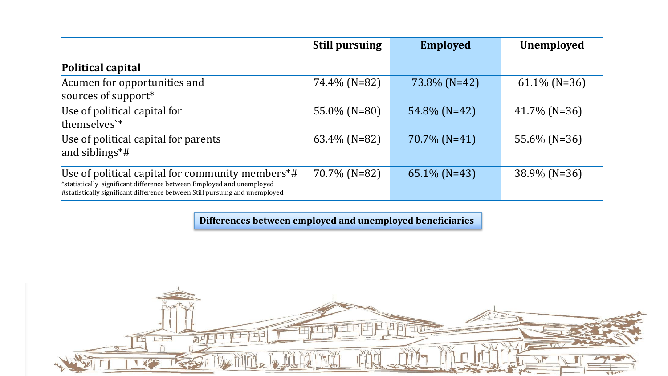|                                                                                                                                                                                                          | <b>Still pursuing</b> | <b>Employed</b> | <b>Unemployed</b> |
|----------------------------------------------------------------------------------------------------------------------------------------------------------------------------------------------------------|-----------------------|-----------------|-------------------|
| <b>Political capital</b>                                                                                                                                                                                 |                       |                 |                   |
| Acumen for opportunities and<br>sources of support*                                                                                                                                                      | 74.4% (N=82)          | 73.8% (N=42)    | $61.1\%$ (N=36)   |
| Use of political capital for<br>themselves'*                                                                                                                                                             | 55.0% (N=80)          | 54.8% (N=42)    | $41.7\%$ (N=36)   |
| Use of political capital for parents<br>and siblings $*$ #                                                                                                                                               | 63.4% (N=82)          | $70.7\%$ (N=41) | 55.6% $(N=36)$    |
| Use of political capital for community members*#<br>*statistically significant difference between Employed and unemployed<br>#statistically significant difference between Still pursuing and unemployed | 70.7% (N=82)          | $65.1\%$ (N=43) | $38.9\%$ (N=36)   |

#### **Differences between employed and unemployed beneficiaries**

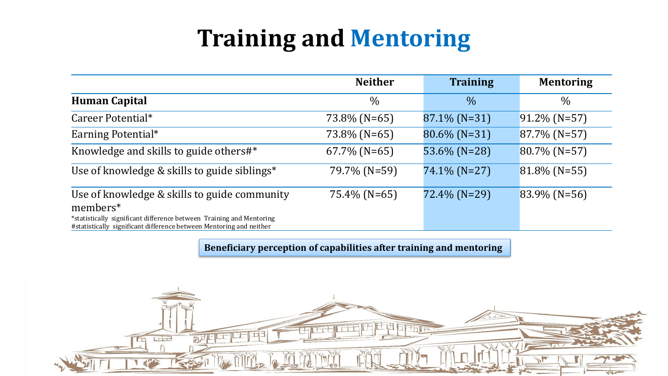### **Training and Mentoring**

|                                                                                                                                                                                                         | <b>Neither</b>  | <b>Training</b> | <b>Mentoring</b> |
|---------------------------------------------------------------------------------------------------------------------------------------------------------------------------------------------------------|-----------------|-----------------|------------------|
| <b>Human Capital</b>                                                                                                                                                                                    | $\frac{0}{0}$   | $\frac{0}{0}$   | $\frac{0}{0}$    |
| Career Potential*                                                                                                                                                                                       | 73.8% (N=65)    | 87.1% (N=31)    | $91.2\%$ (N=57)  |
| Earning Potential*                                                                                                                                                                                      | 73.8% (N=65)    | $80.6\%$ (N=31) | $87.7\%$ (N=57)  |
| Knowledge and skills to guide others#*                                                                                                                                                                  | $67.7\%$ (N=65) | 53.6% (N=28)    | $80.7\%$ (N=57)  |
| Use of knowledge & skills to guide siblings*                                                                                                                                                            | 79.7% (N=59)    | 74.1% (N=27)    | $81.8\%$ (N=55)  |
| Use of knowledge & skills to guide community<br>members*<br>*statistically significant difference between Training and Mentoring<br>#statistically significant difference between Mentoring and neither | $75.4\%$ (N=65) | 72.4% (N=29)    | $83.9\%$ (N=56)  |

**Beneficiary perception of capabilities after training and mentoring**

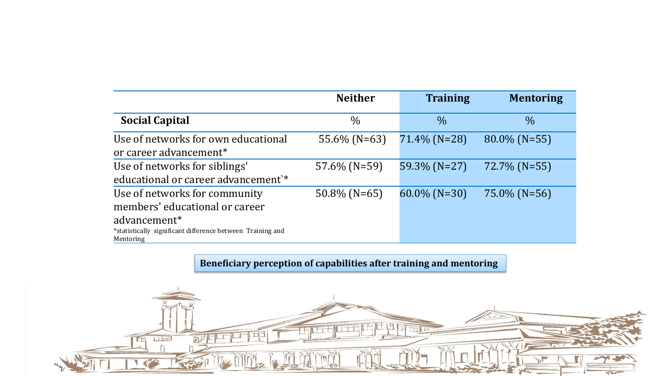|                                                                                                                                                                        | <b>Neither</b>  | <b>Training</b> | <b>Mentoring</b> |
|------------------------------------------------------------------------------------------------------------------------------------------------------------------------|-----------------|-----------------|------------------|
| <b>Social Capital</b>                                                                                                                                                  | $\frac{0}{0}$   | $\frac{0}{0}$   | $\frac{0}{0}$    |
| Use of networks for own educational<br>or career advancement <sup>*</sup>                                                                                              | 55.6% (N=63)    | 71.4% (N=28)    | $80.0\%$ (N=55)  |
| Use of networks for siblings'<br>educational or career advancement <sup>*</sup>                                                                                        | $57.6\%$ (N=59) | 59.3% (N=27)    | $72.7\%$ (N=55)  |
| Use of networks for community<br>members' educational or career<br>advancement <sup>*</sup><br>*statistically significant difference between Training and<br>Mentoring | $50.8\%$ (N=65) | $60.0\%$ (N=30) | $75.0\%$ (N=56)  |

**Beneficiary perception of capabilities after training and mentoring**

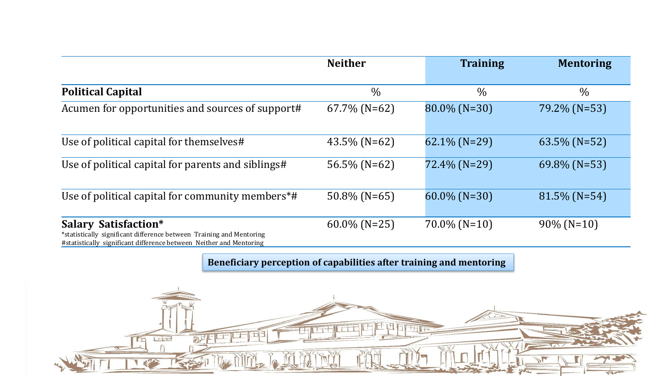|                                                                                                                                                                            | <b>Neither</b>  | <b>Training</b> | <b>Mentoring</b> |
|----------------------------------------------------------------------------------------------------------------------------------------------------------------------------|-----------------|-----------------|------------------|
| <b>Political Capital</b>                                                                                                                                                   | $\%$            | $\frac{0}{0}$   | $\frac{0}{0}$    |
| Acumen for opportunities and sources of support#                                                                                                                           | $67.7\%$ (N=62) | $80.0\%$ (N=30) | 79.2% (N=53)     |
| Use of political capital for themselves#                                                                                                                                   | $43.5\%$ (N=62) | $62.1\%$ (N=29) | $63.5\%$ (N=52)  |
| Use of political capital for parents and siblings#                                                                                                                         | $56.5\%$ (N=62) | $72.4\%$ (N=29) | $69.8\%$ (N=53)  |
| Use of political capital for community members*#                                                                                                                           | $50.8\%$ (N=65) | $60.0\%$ (N=30) | $81.5\%$ (N=54)  |
| <b>Salary Satisfaction*</b><br>*statistically significant difference between Training and Mentoring<br>#statistically significant difference between Neither and Mentoring | $60.0\%$ (N=25) | $70.0\%$ (N=10) | $90\%$ (N=10)    |

**Beneficiary perception of capabilities after training and mentoring**

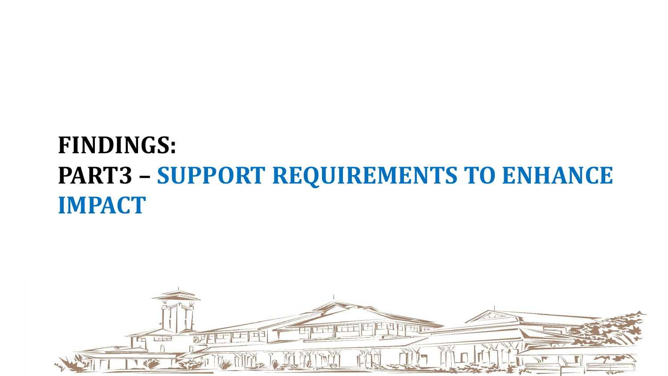### **FINDINGS: PART3 – SUPPORT REQUIREMENTS TO ENHANCE IMPACT**

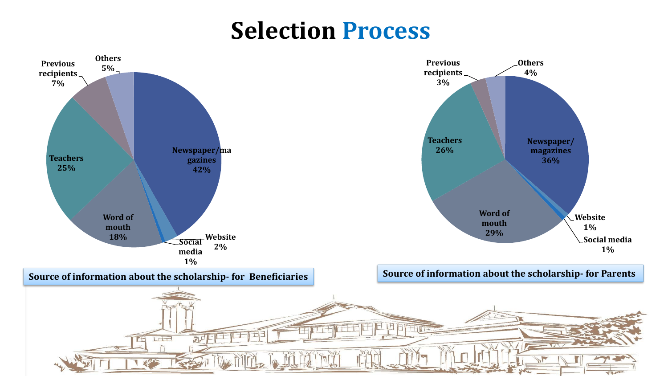### **Selection Process**

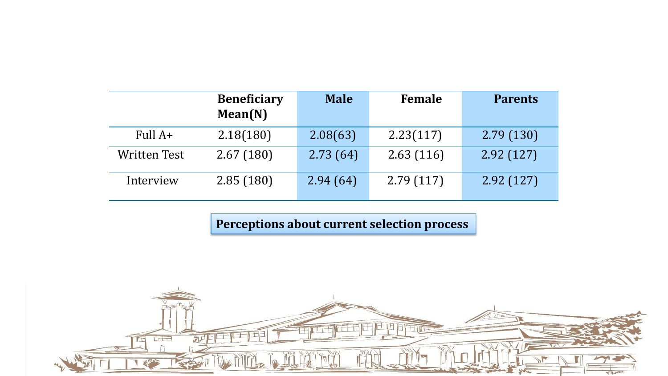|                     | <b>Beneficiary</b><br>Mean(N) | <b>Male</b> | Female    | <b>Parents</b> |
|---------------------|-------------------------------|-------------|-----------|----------------|
| Full $A+$           | 2.18(180)                     | 2.08(63)    | 2.23(117) | 2.79(130)      |
| <b>Written Test</b> | 2.67(180)                     | 2.73(64)    | 2.63(116) | 2.92(127)      |
| Interview           | 2.85(180)                     | 2.94(64)    | 2.79(117) | 2.92(127)      |

**Perceptions about current selection process**

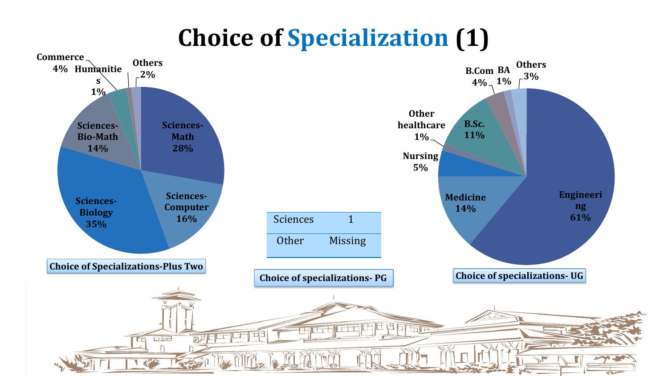### **Choice of Specialization (1)**

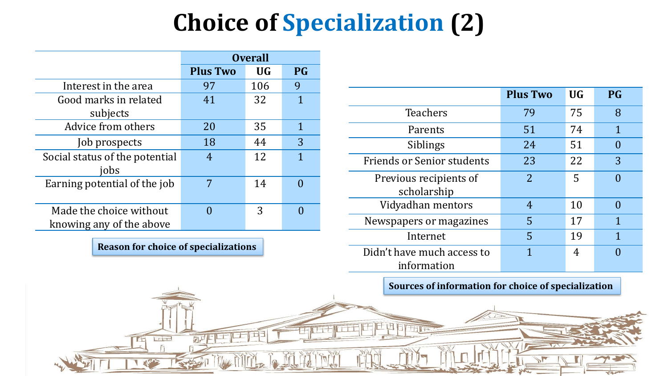## **Choice of Specialization (2)**

|                                                     | <b>Overall</b>  |           |           |
|-----------------------------------------------------|-----------------|-----------|-----------|
|                                                     | <b>Plus Two</b> | <b>UG</b> | <b>PG</b> |
| Interest in the area                                | 97              | 106       | 9         |
| Good marks in related                               | 41              | 32        | 1         |
| subjects                                            |                 |           |           |
| Advice from others                                  | 20              | 35        | 1         |
| Job prospects                                       | 18              | 44        | 3         |
| Social status of the potential<br>jobs              | 4               | 12        | 1         |
| Earning potential of the job                        | 7               | 14        |           |
| Made the choice without<br>knowing any of the above |                 | 3         |           |

**Reason for choice of specializations**

**Lie** 

团上

|                                           | <b>Plus Two</b> | <b>UG</b> | <b>PG</b>    |
|-------------------------------------------|-----------------|-----------|--------------|
| <b>Teachers</b>                           | 79              | 75        | 8            |
| Parents                                   | 51              | 74        | $\mathbf{1}$ |
| Siblings                                  | 24              | 51        |              |
| <b>Friends or Senior students</b>         | 23              | 22        | 3            |
| Previous recipients of<br>scholarship     | $\overline{2}$  | 5         |              |
| Vidyadhan mentors                         | 4               | 10        | $\Omega$     |
| Newspapers or magazines                   | 5               | 17        | $\mathbf 1$  |
| Internet                                  | 5               | 19        | $\mathbf 1$  |
| Didn't have much access to<br>information | 1               | 4         |              |

**Sources of information for choice of specialization**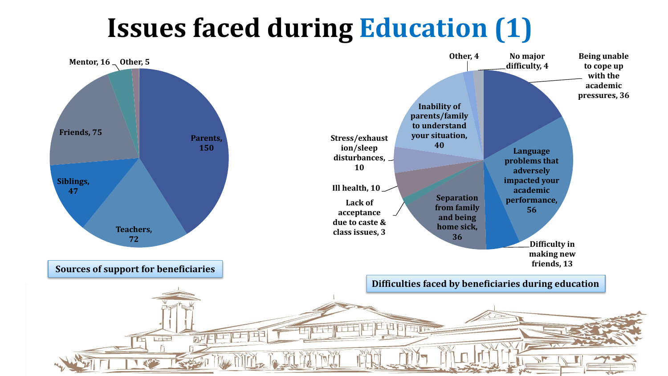# **Issues faced during Education (1)**

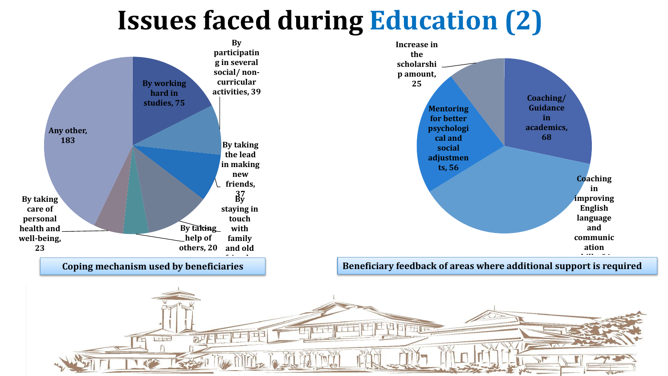## **Issues faced during Education (2)**

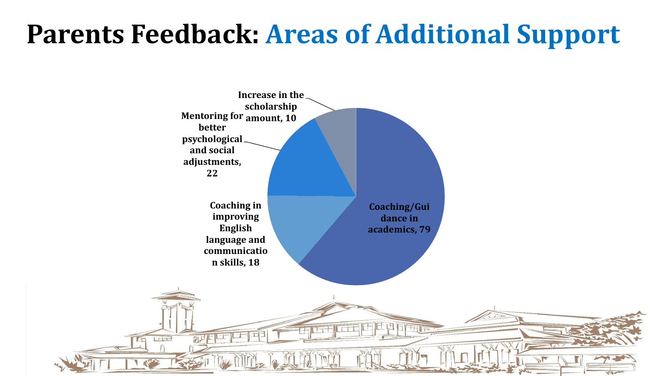### **Parents Feedback: Areas of Additional Support**

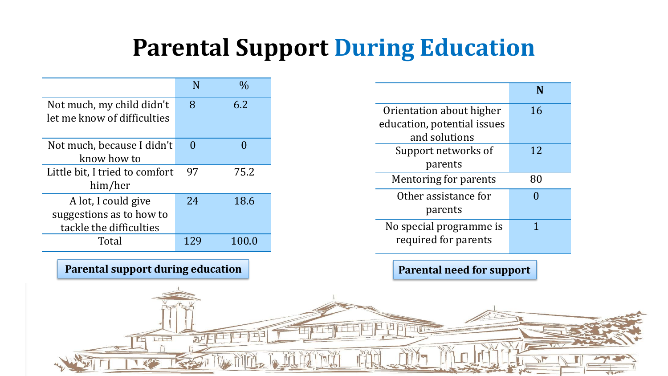### **Parental Support During Education**

|                                | N        | $\frac{0}{0}$ |
|--------------------------------|----------|---------------|
| Not much, my child didn't      | 8        | 6.2           |
| let me know of difficulties    |          |               |
|                                |          |               |
| Not much, because I didn't     | $\Omega$ |               |
| know how to                    |          |               |
| Little bit, I tried to comfort | 97       | 75.2          |
| him/her                        |          |               |
| A lot, I could give            | 24       | 18.6          |
| suggestions as to how to       |          |               |
| tackle the difficulties        |          |               |
| Total                          |          | 100.0         |

#### **Parental support during education**

| Orientation about higher    | 16 |
|-----------------------------|----|
| education, potential issues |    |
| and solutions               |    |
| Support networks of         | 12 |
| parents                     |    |
| Mentoring for parents       | 80 |
| Other assistance for        | O  |
| parents                     |    |
| No special programme is     |    |
| required for parents        |    |
|                             |    |

**Parental need for support**

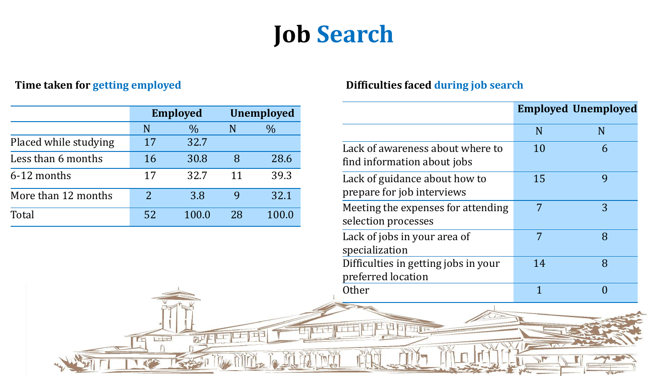### **Job Search**

|                       | <b>Employed</b> |               | <b>Unemployed</b> |       |
|-----------------------|-----------------|---------------|-------------------|-------|
|                       | N               | $\frac{0}{0}$ | N                 | $\%$  |
| Placed while studying | 17              | 32.7          |                   |       |
| Less than 6 months    | 16              | 30.8          | 8                 | 28.6  |
| 6-12 months           | 17              | 32.7          | 11                | 39.3  |
| More than 12 months   | $\overline{2}$  | 3.8           |                   | 32.1  |
| Total                 | 52              | 100.0         | 28                | 100.0 |

 $\Gamma$ 

四月二

#### **Time taken for getting employed Difficulties faced during job search**

|                                                                 |    | <b>Employed Unemployed</b> |
|-----------------------------------------------------------------|----|----------------------------|
|                                                                 | N  | N                          |
| Lack of awareness about where to<br>find information about jobs | 10 | 6                          |
| Lack of guidance about how to<br>prepare for job interviews     | 15 | 9                          |
| Meeting the expenses for attending<br>selection processes       | 7  | 3                          |
| Lack of jobs in your area of<br>specialization                  | 7  | 8                          |
| Difficulties in getting jobs in your<br>preferred location      | 14 | 8                          |
| Other                                                           |    |                            |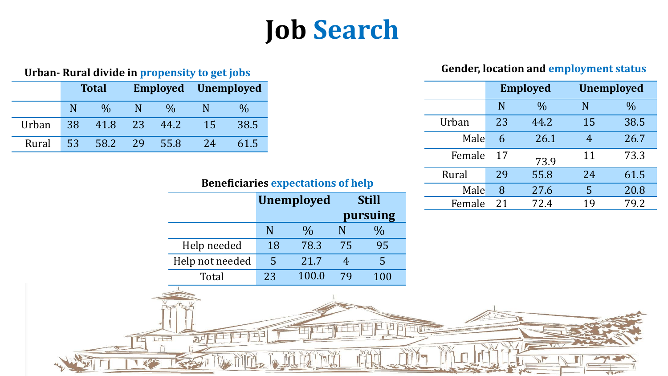# **Job Search**

|                         |              |        | <b>Employed</b> |               | <b>Unemployed</b> |               |
|-------------------------|--------------|--------|-----------------|---------------|-------------------|---------------|
|                         |              |        | N               | $\frac{0}{0}$ | N                 | $\frac{0}{0}$ |
|                         |              | Urban  | 23              | 44.2          | 15                | 38.5          |
|                         |              | Male   | 6               | 26.1          | $\overline{4}$    | 26.7          |
|                         |              | Female | 17              | 73.9          | 11                | 73.3          |
| es expectations of help |              | Rural  | 29              | 55.8          | 24                | 61.5          |
|                         |              | Male   | 8               | 27.6          | 5                 | 20.8          |
| <b>Unemployed</b>       | <b>Still</b> | Female | 21              | 72.4          | 19                | 79.2          |
|                         |              |        |                 |               |                   |               |

### **Urban-** Rural divide in propensity to get jobs **Gender, location and employment status**

|       |    | <b>Total</b>  |     |               |    | <b>Employed</b> Unemployed |  |
|-------|----|---------------|-----|---------------|----|----------------------------|--|
|       |    | $\frac{0}{0}$ |     | $\frac{0}{0}$ |    | $\%$                       |  |
| Urban | 38 | 41.8          | -23 | 44.2          | 15 | 38.5                       |  |
| Rural | 53 | 58.2          | 29  | 55.8          | 24 | 61.5                       |  |

**Lie** 

厨牛

#### **Beneficiaries expectations of help**

|                 | <b>Unemployed</b> |               | <b>Still</b> |     |
|-----------------|-------------------|---------------|--------------|-----|
|                 |                   |               | pursuing     |     |
|                 | N                 | $\frac{0}{0}$ |              |     |
| Help needed     | 18                | 78.3          | 75           | 95  |
| Help not needed | 5                 | 21.7          |              | 5   |
| Total           | 23                | 100.0         | 79           | 100 |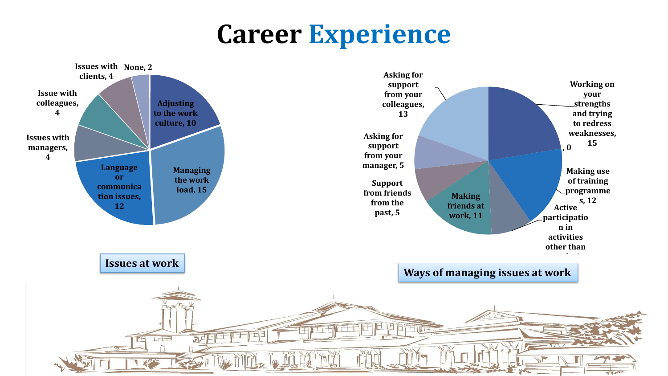### **Career Experience**

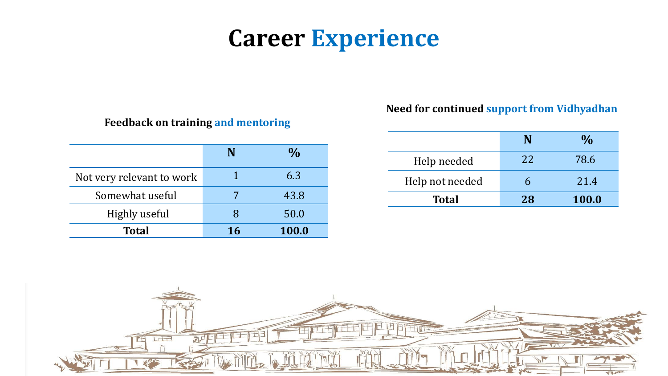### **Career Experience**

#### **Feedback on training and mentoring**

|                           |    | $\frac{0}{0}$ |
|---------------------------|----|---------------|
| Not very relevant to work |    | 6.3           |
| Somewhat useful           |    | 43.8          |
| Highly useful             | x  | 50.0          |
| <b>Total</b>              | 16 | 100.0         |

#### **Need for continued support from Vidhyadhan**

|                 |    | $\frac{0}{0}$ |
|-----------------|----|---------------|
| Help needed     | 22 | 78.6          |
| Help not needed | h  | 21.4          |
| <b>Total</b>    | 28 | 100.0         |

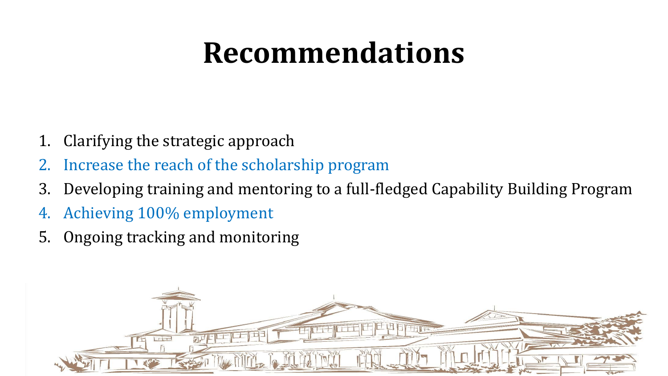# **Recommendations**

- 1. Clarifying the strategic approach
- Increase the reach of the scholarship program
- 3. Developing training and mentoring to a full-fledged Capability Building Program
- 4. Achieving 100% employment
- 5. Ongoing tracking and monitoring

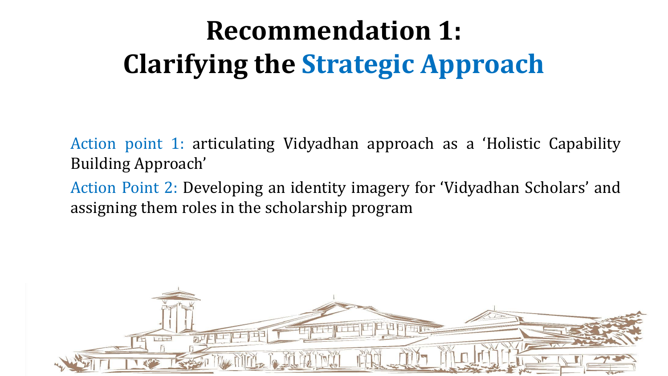# **Recommendation 1: Clarifying the Strategic Approach**

Action point 1: articulating Vidyadhan approach as a 'Holistic Capability Building Approach'

Action Point 2: Developing an identity imagery for 'Vidyadhan Scholars' and assigning them roles in the scholarship program

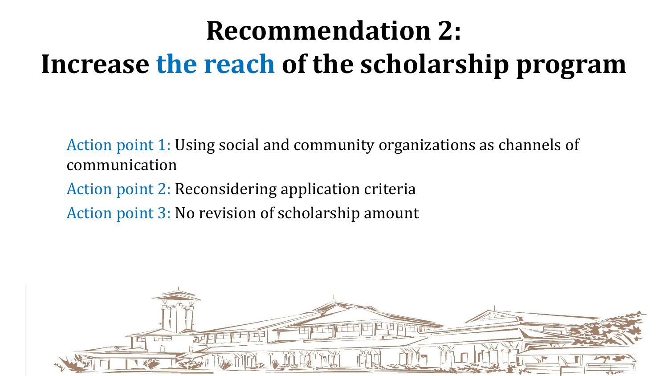# **Recommendation 2: Increase the reach of the scholarship program**

Action point 1: Using social and community organizations as channels of communication

Action point 2: Reconsidering application criteria Action point 3: No revision of scholarship amount

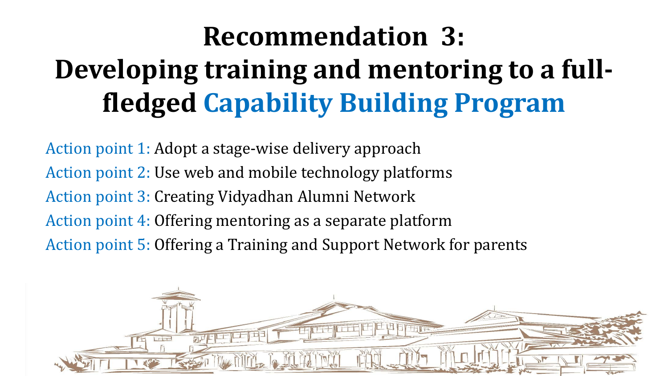# **Recommendation 3: Developing training and mentoring to a fullfledged Capability Building Program**

Action point 1: Adopt a stage-wise delivery approach Action point 2: Use web and mobile technology platforms Action point 3: Creating Vidyadhan Alumni Network Action point 4: Offering mentoring as a separate platform Action point 5: Offering a Training and Support Network for parents

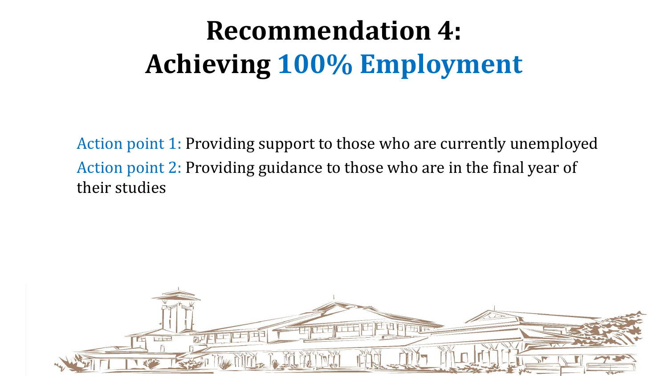# **Recommendation 4: Achieving 100% Employment**

Action point 1: Providing support to those who are currently unemployed Action point 2: Providing guidance to those who are in the final year of their studies